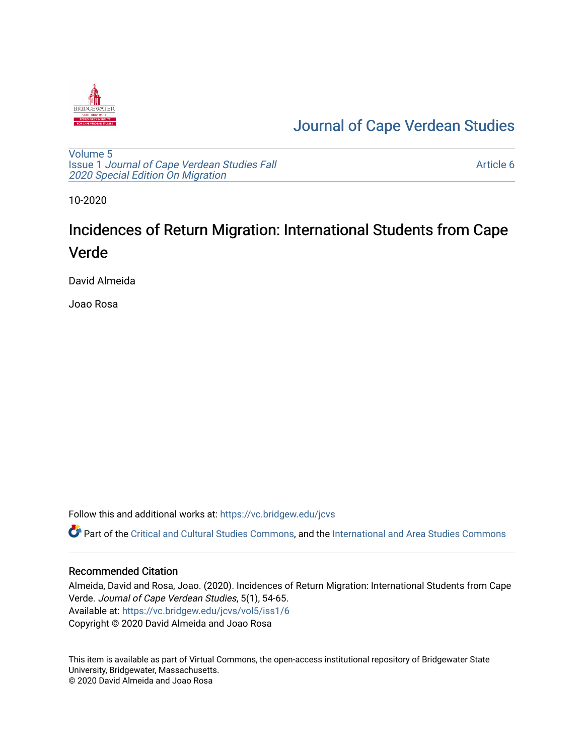

# [Journal of Cape Verdean Studies](https://vc.bridgew.edu/jcvs)

[Volume 5](https://vc.bridgew.edu/jcvs/vol5) Issue 1 [Journal of Cape Verdean Studies Fall](https://vc.bridgew.edu/jcvs/vol5/iss1)  [2020 Special Edition On Migration](https://vc.bridgew.edu/jcvs/vol5/iss1) 

[Article 6](https://vc.bridgew.edu/jcvs/vol5/iss1/6) 

10-2020

# Incidences of Return Migration: International Students from Cape Verde

David Almeida

Joao Rosa

Follow this and additional works at: [https://vc.bridgew.edu/jcvs](https://vc.bridgew.edu/jcvs?utm_source=vc.bridgew.edu%2Fjcvs%2Fvol5%2Fiss1%2F6&utm_medium=PDF&utm_campaign=PDFCoverPages) 

Part of the [Critical and Cultural Studies Commons](http://network.bepress.com/hgg/discipline/328?utm_source=vc.bridgew.edu%2Fjcvs%2Fvol5%2Fiss1%2F6&utm_medium=PDF&utm_campaign=PDFCoverPages), and the International and Area Studies Commons

### Recommended Citation

Almeida, David and Rosa, Joao. (2020). Incidences of Return Migration: International Students from Cape Verde. Journal of Cape Verdean Studies, 5(1), 54-65. Available at: [https://vc.bridgew.edu/jcvs/vol5/iss1/6](https://vc.bridgew.edu/jcvs/vol5/iss1/6?utm_source=vc.bridgew.edu%2Fjcvs%2Fvol5%2Fiss1%2F6&utm_medium=PDF&utm_campaign=PDFCoverPages)  Copyright © 2020 David Almeida and Joao Rosa

This item is available as part of Virtual Commons, the open-access institutional repository of Bridgewater State University, Bridgewater, Massachusetts. © 2020 David Almeida and Joao Rosa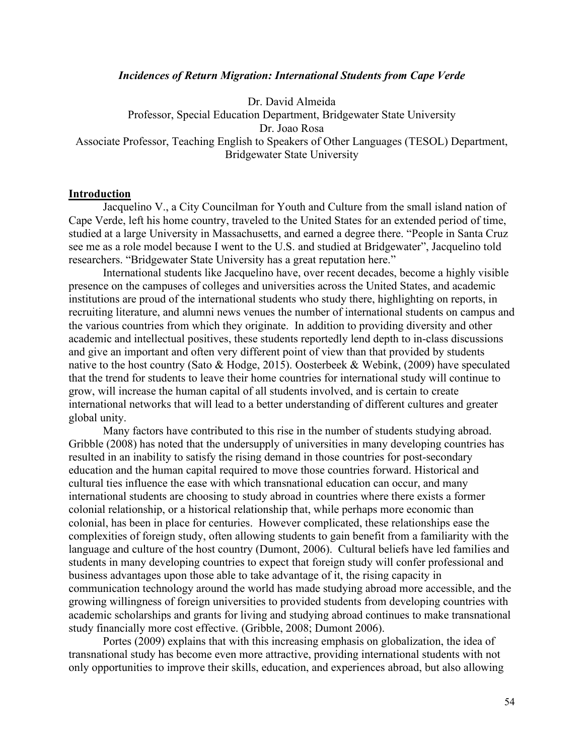#### *Incidences of Return Migration: International Students from Cape Verde*

Dr. David Almeida Professor, Special Education Department, Bridgewater State University Dr. Joao Rosa Associate Professor, Teaching English to Speakers of Other Languages (TESOL) Department, Bridgewater State University

#### **Introduction**

Jacquelino V., a City Councilman for Youth and Culture from the small island nation of Cape Verde, left his home country, traveled to the United States for an extended period of time, studied at a large University in Massachusetts, and earned a degree there. "People in Santa Cruz see me as a role model because I went to the U.S. and studied at Bridgewater", Jacquelino told researchers. "Bridgewater State University has a great reputation here."

International students like Jacquelino have, over recent decades, become a highly visible presence on the campuses of colleges and universities across the United States, and academic institutions are proud of the international students who study there, highlighting on reports, in recruiting literature, and alumni news venues the number of international students on campus and the various countries from which they originate. In addition to providing diversity and other academic and intellectual positives, these students reportedly lend depth to in-class discussions and give an important and often very different point of view than that provided by students native to the host country (Sato & Hodge, 2015). Oosterbeek & Webink, (2009) have speculated that the trend for students to leave their home countries for international study will continue to grow, will increase the human capital of all students involved, and is certain to create international networks that will lead to a better understanding of different cultures and greater global unity.

Many factors have contributed to this rise in the number of students studying abroad. Gribble (2008) has noted that the undersupply of universities in many developing countries has resulted in an inability to satisfy the rising demand in those countries for post-secondary education and the human capital required to move those countries forward. Historical and cultural ties influence the ease with which transnational education can occur, and many international students are choosing to study abroad in countries where there exists a former colonial relationship, or a historical relationship that, while perhaps more economic than colonial, has been in place for centuries. However complicated, these relationships ease the complexities of foreign study, often allowing students to gain benefit from a familiarity with the language and culture of the host country (Dumont, 2006). Cultural beliefs have led families and students in many developing countries to expect that foreign study will confer professional and business advantages upon those able to take advantage of it, the rising capacity in communication technology around the world has made studying abroad more accessible, and the growing willingness of foreign universities to provided students from developing countries with academic scholarships and grants for living and studying abroad continues to make transnational study financially more cost effective. (Gribble, 2008; Dumont 2006).

Portes (2009) explains that with this increasing emphasis on globalization, the idea of transnational study has become even more attractive, providing international students with not only opportunities to improve their skills, education, and experiences abroad, but also allowing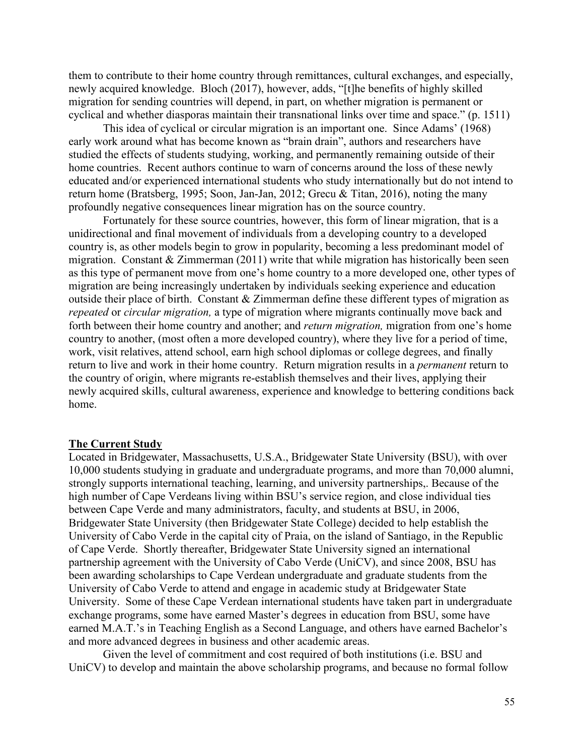them to contribute to their home country through remittances, cultural exchanges, and especially, newly acquired knowledge. Bloch (2017), however, adds, "[t]he benefits of highly skilled migration for sending countries will depend, in part, on whether migration is permanent or cyclical and whether diasporas maintain their transnational links over time and space." (p. 1511)

This idea of cyclical or circular migration is an important one. Since Adams' (1968) early work around what has become known as "brain drain", authors and researchers have studied the effects of students studying, working, and permanently remaining outside of their home countries. Recent authors continue to warn of concerns around the loss of these newly educated and/or experienced international students who study internationally but do not intend to return home (Bratsberg, 1995; Soon, Jan-Jan, 2012; Grecu & Titan, 2016), noting the many profoundly negative consequences linear migration has on the source country.

Fortunately for these source countries, however, this form of linear migration, that is a unidirectional and final movement of individuals from a developing country to a developed country is, as other models begin to grow in popularity, becoming a less predominant model of migration. Constant & Zimmerman (2011) write that while migration has historically been seen as this type of permanent move from one's home country to a more developed one, other types of migration are being increasingly undertaken by individuals seeking experience and education outside their place of birth. Constant & Zimmerman define these different types of migration as *repeated* or *circular migration,* a type of migration where migrants continually move back and forth between their home country and another; and *return migration,* migration from one's home country to another, (most often a more developed country), where they live for a period of time, work, visit relatives, attend school, earn high school diplomas or college degrees, and finally return to live and work in their home country. Return migration results in a *permanent* return to the country of origin, where migrants re-establish themselves and their lives, applying their newly acquired skills, cultural awareness, experience and knowledge to bettering conditions back home.

#### **The Current Study**

Located in Bridgewater, Massachusetts, U.S.A., Bridgewater State University (BSU), with over 10,000 students studying in graduate and undergraduate programs, and more than 70,000 alumni, strongly supports international teaching, learning, and university partnerships,. Because of the high number of Cape Verdeans living within BSU's service region, and close individual ties between Cape Verde and many administrators, faculty, and students at BSU, in 2006, Bridgewater State University (then Bridgewater State College) decided to help establish the University of Cabo Verde in the capital city of Praia, on the island of Santiago, in the Republic of Cape Verde. Shortly thereafter, Bridgewater State University signed an international partnership agreement with the University of Cabo Verde (UniCV), and since 2008, BSU has been awarding scholarships to Cape Verdean undergraduate and graduate students from the University of Cabo Verde to attend and engage in academic study at Bridgewater State University. Some of these Cape Verdean international students have taken part in undergraduate exchange programs, some have earned Master's degrees in education from BSU, some have earned M.A.T.'s in Teaching English as a Second Language, and others have earned Bachelor's and more advanced degrees in business and other academic areas.

Given the level of commitment and cost required of both institutions (i.e. BSU and UniCV) to develop and maintain the above scholarship programs, and because no formal follow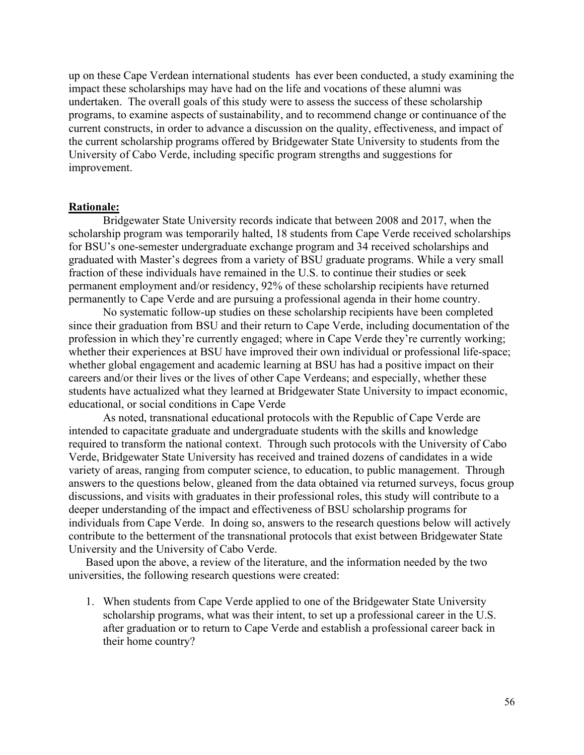up on these Cape Verdean international students has ever been conducted, a study examining the impact these scholarships may have had on the life and vocations of these alumni was undertaken. The overall goals of this study were to assess the success of these scholarship programs, to examine aspects of sustainability, and to recommend change or continuance of the current constructs, in order to advance a discussion on the quality, effectiveness, and impact of the current scholarship programs offered by Bridgewater State University to students from the University of Cabo Verde, including specific program strengths and suggestions for improvement.

#### **Rationale:**

Bridgewater State University records indicate that between 2008 and 2017, when the scholarship program was temporarily halted, 18 students from Cape Verde received scholarships for BSU's one-semester undergraduate exchange program and 34 received scholarships and graduated with Master's degrees from a variety of BSU graduate programs. While a very small fraction of these individuals have remained in the U.S. to continue their studies or seek permanent employment and/or residency, 92% of these scholarship recipients have returned permanently to Cape Verde and are pursuing a professional agenda in their home country.

No systematic follow-up studies on these scholarship recipients have been completed since their graduation from BSU and their return to Cape Verde, including documentation of the profession in which they're currently engaged; where in Cape Verde they're currently working; whether their experiences at BSU have improved their own individual or professional life-space; whether global engagement and academic learning at BSU has had a positive impact on their careers and/or their lives or the lives of other Cape Verdeans; and especially, whether these students have actualized what they learned at Bridgewater State University to impact economic, educational, or social conditions in Cape Verde

As noted, transnational educational protocols with the Republic of Cape Verde are intended to capacitate graduate and undergraduate students with the skills and knowledge required to transform the national context. Through such protocols with the University of Cabo Verde, Bridgewater State University has received and trained dozens of candidates in a wide variety of areas, ranging from computer science, to education, to public management. Through answers to the questions below, gleaned from the data obtained via returned surveys, focus group discussions, and visits with graduates in their professional roles, this study will contribute to a deeper understanding of the impact and effectiveness of BSU scholarship programs for individuals from Cape Verde. In doing so, answers to the research questions below will actively contribute to the betterment of the transnational protocols that exist between Bridgewater State University and the University of Cabo Verde.

Based upon the above, a review of the literature, and the information needed by the two universities, the following research questions were created:

1. When students from Cape Verde applied to one of the Bridgewater State University scholarship programs, what was their intent, to set up a professional career in the U.S. after graduation or to return to Cape Verde and establish a professional career back in their home country?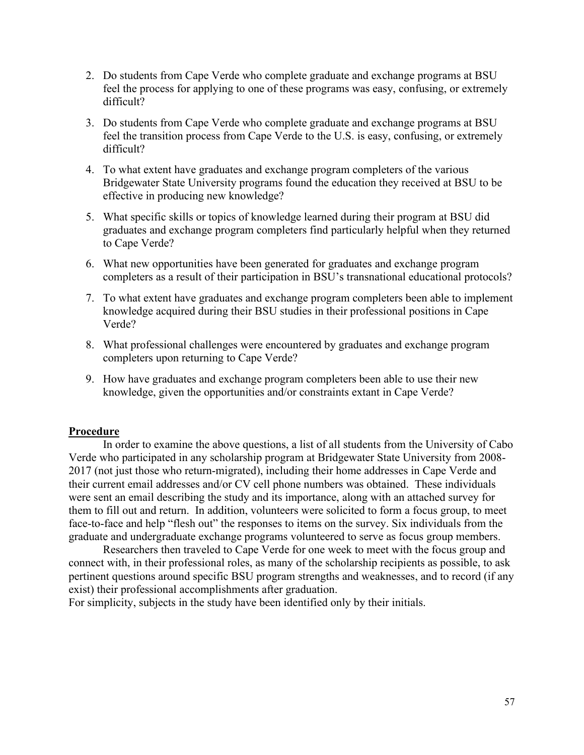- 2. Do students from Cape Verde who complete graduate and exchange programs at BSU feel the process for applying to one of these programs was easy, confusing, or extremely difficult?
- 3. Do students from Cape Verde who complete graduate and exchange programs at BSU feel the transition process from Cape Verde to the U.S. is easy, confusing, or extremely difficult?
- 4. To what extent have graduates and exchange program completers of the various Bridgewater State University programs found the education they received at BSU to be effective in producing new knowledge?
- 5. What specific skills or topics of knowledge learned during their program at BSU did graduates and exchange program completers find particularly helpful when they returned to Cape Verde?
- 6. What new opportunities have been generated for graduates and exchange program completers as a result of their participation in BSU's transnational educational protocols?
- 7. To what extent have graduates and exchange program completers been able to implement knowledge acquired during their BSU studies in their professional positions in Cape Verde?
- 8. What professional challenges were encountered by graduates and exchange program completers upon returning to Cape Verde?
- 9. How have graduates and exchange program completers been able to use their new knowledge, given the opportunities and/or constraints extant in Cape Verde?

### **Procedure**

In order to examine the above questions, a list of all students from the University of Cabo Verde who participated in any scholarship program at Bridgewater State University from 2008- 2017 (not just those who return-migrated), including their home addresses in Cape Verde and their current email addresses and/or CV cell phone numbers was obtained. These individuals were sent an email describing the study and its importance, along with an attached survey for them to fill out and return. In addition, volunteers were solicited to form a focus group, to meet face-to-face and help "flesh out" the responses to items on the survey. Six individuals from the graduate and undergraduate exchange programs volunteered to serve as focus group members.

Researchers then traveled to Cape Verde for one week to meet with the focus group and connect with, in their professional roles, as many of the scholarship recipients as possible, to ask pertinent questions around specific BSU program strengths and weaknesses, and to record (if any exist) their professional accomplishments after graduation.

For simplicity, subjects in the study have been identified only by their initials.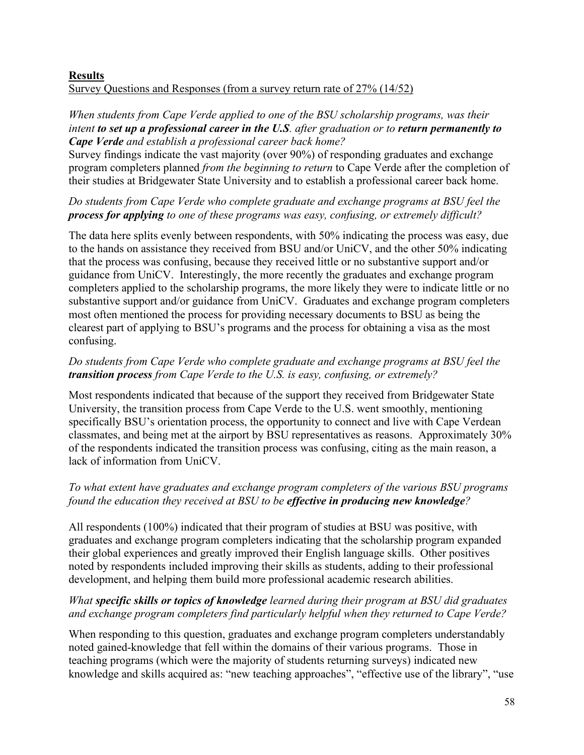## **Results**  Survey Questions and Responses (from a survey return rate of 27% (14/52)

## *When students from Cape Verde applied to one of the BSU scholarship programs, was their intent to set up a professional career in the U.S. after graduation or to return permanently to Cape Verde and establish a professional career back home?*

Survey findings indicate the vast majority (over 90%) of responding graduates and exchange program completers planned *from the beginning to return* to Cape Verde after the completion of their studies at Bridgewater State University and to establish a professional career back home.

*Do students from Cape Verde who complete graduate and exchange programs at BSU feel the process for applying to one of these programs was easy, confusing, or extremely difficult?*

The data here splits evenly between respondents, with 50% indicating the process was easy, due to the hands on assistance they received from BSU and/or UniCV, and the other 50% indicating that the process was confusing, because they received little or no substantive support and/or guidance from UniCV. Interestingly, the more recently the graduates and exchange program completers applied to the scholarship programs, the more likely they were to indicate little or no substantive support and/or guidance from UniCV. Graduates and exchange program completers most often mentioned the process for providing necessary documents to BSU as being the clearest part of applying to BSU's programs and the process for obtaining a visa as the most confusing.

# *Do students from Cape Verde who complete graduate and exchange programs at BSU feel the transition process from Cape Verde to the U.S. is easy, confusing, or extremely?*

Most respondents indicated that because of the support they received from Bridgewater State University, the transition process from Cape Verde to the U.S. went smoothly, mentioning specifically BSU's orientation process, the opportunity to connect and live with Cape Verdean classmates, and being met at the airport by BSU representatives as reasons. Approximately 30% of the respondents indicated the transition process was confusing, citing as the main reason, a lack of information from UniCV.

# *To what extent have graduates and exchange program completers of the various BSU programs found the education they received at BSU to be effective in producing new knowledge?*

All respondents (100%) indicated that their program of studies at BSU was positive, with graduates and exchange program completers indicating that the scholarship program expanded their global experiences and greatly improved their English language skills. Other positives noted by respondents included improving their skills as students, adding to their professional development, and helping them build more professional academic research abilities.

# *What specific skills or topics of knowledge learned during their program at BSU did graduates and exchange program completers find particularly helpful when they returned to Cape Verde?*

When responding to this question, graduates and exchange program completers understandably noted gained-knowledge that fell within the domains of their various programs. Those in teaching programs (which were the majority of students returning surveys) indicated new knowledge and skills acquired as: "new teaching approaches", "effective use of the library", "use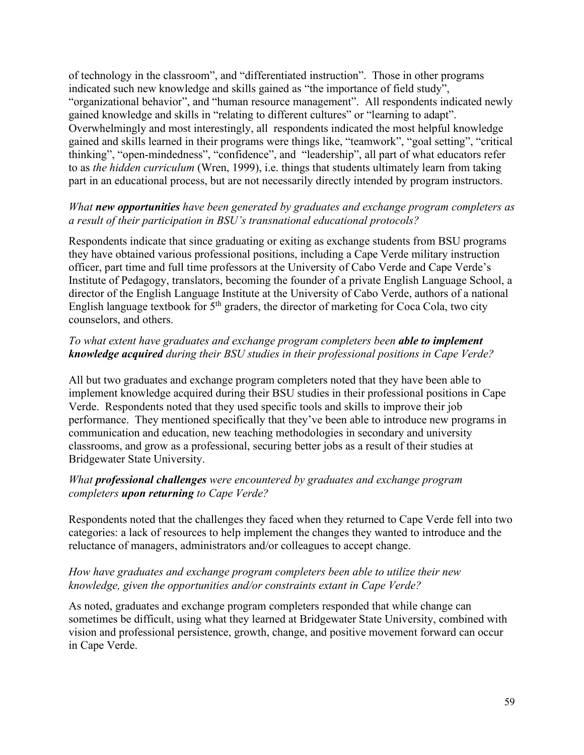of technology in the classroom", and "differentiated instruction". Those in other programs indicated such new knowledge and skills gained as "the importance of field study", "organizational behavior", and "human resource management". All respondents indicated newly gained knowledge and skills in "relating to different cultures" or "learning to adapt". Overwhelmingly and most interestingly, all respondents indicated the most helpful knowledge gained and skills learned in their programs were things like, "teamwork", "goal setting", "critical thinking", "open-mindedness", "confidence", and "leadership", all part of what educators refer to as *the hidden curriculum* (Wren, 1999), i.e. things that students ultimately learn from taking part in an educational process, but are not necessarily directly intended by program instructors.

## *What new opportunities have been generated by graduates and exchange program completers as a result of their participation in BSU's transnational educational protocols?*

Respondents indicate that since graduating or exiting as exchange students from BSU programs they have obtained various professional positions, including a Cape Verde military instruction officer, part time and full time professors at the University of Cabo Verde and Cape Verde's Institute of Pedagogy, translators, becoming the founder of a private English Language School, a director of the English Language Institute at the University of Cabo Verde, authors of a national English language textbook for  $5<sup>th</sup>$  graders, the director of marketing for Coca Cola, two city counselors, and others.

## *To what extent have graduates and exchange program completers been able to implement knowledge acquired during their BSU studies in their professional positions in Cape Verde?*

All but two graduates and exchange program completers noted that they have been able to implement knowledge acquired during their BSU studies in their professional positions in Cape Verde. Respondents noted that they used specific tools and skills to improve their job performance. They mentioned specifically that they've been able to introduce new programs in communication and education, new teaching methodologies in secondary and university classrooms, and grow as a professional, securing better jobs as a result of their studies at Bridgewater State University.

## *What professional challenges were encountered by graduates and exchange program completers upon returning to Cape Verde?*

Respondents noted that the challenges they faced when they returned to Cape Verde fell into two categories: a lack of resources to help implement the changes they wanted to introduce and the reluctance of managers, administrators and/or colleagues to accept change.

## *How have graduates and exchange program completers been able to utilize their new knowledge, given the opportunities and/or constraints extant in Cape Verde?*

As noted, graduates and exchange program completers responded that while change can sometimes be difficult, using what they learned at Bridgewater State University, combined with vision and professional persistence, growth, change, and positive movement forward can occur in Cape Verde.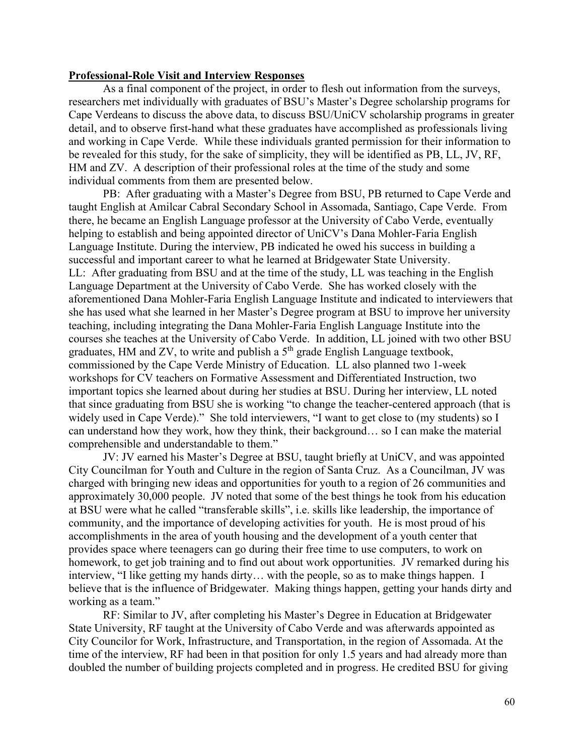#### **Professional-Role Visit and Interview Responses**

As a final component of the project, in order to flesh out information from the surveys, researchers met individually with graduates of BSU's Master's Degree scholarship programs for Cape Verdeans to discuss the above data, to discuss BSU/UniCV scholarship programs in greater detail, and to observe first-hand what these graduates have accomplished as professionals living and working in Cape Verde. While these individuals granted permission for their information to be revealed for this study, for the sake of simplicity, they will be identified as PB, LL, JV, RF, HM and ZV. A description of their professional roles at the time of the study and some individual comments from them are presented below.

PB: After graduating with a Master's Degree from BSU, PB returned to Cape Verde and taught English at Amilcar Cabral Secondary School in Assomada, Santiago, Cape Verde. From there, he became an English Language professor at the University of Cabo Verde, eventually helping to establish and being appointed director of UniCV's Dana Mohler-Faria English Language Institute. During the interview, PB indicated he owed his success in building a successful and important career to what he learned at Bridgewater State University. LL: After graduating from BSU and at the time of the study, LL was teaching in the English Language Department at the University of Cabo Verde. She has worked closely with the aforementioned Dana Mohler-Faria English Language Institute and indicated to interviewers that she has used what she learned in her Master's Degree program at BSU to improve her university teaching, including integrating the Dana Mohler-Faria English Language Institute into the courses she teaches at the University of Cabo Verde. In addition, LL joined with two other BSU graduates, HM and ZV, to write and publish a  $5<sup>th</sup>$  grade English Language textbook, commissioned by the Cape Verde Ministry of Education. LL also planned two 1-week workshops for CV teachers on Formative Assessment and Differentiated Instruction, two important topics she learned about during her studies at BSU. During her interview, LL noted that since graduating from BSU she is working "to change the teacher-centered approach (that is widely used in Cape Verde)." She told interviewers, "I want to get close to (my students) so I can understand how they work, how they think, their background… so I can make the material comprehensible and understandable to them."

JV: JV earned his Master's Degree at BSU, taught briefly at UniCV, and was appointed City Councilman for Youth and Culture in the region of Santa Cruz. As a Councilman, JV was charged with bringing new ideas and opportunities for youth to a region of 26 communities and approximately 30,000 people. JV noted that some of the best things he took from his education at BSU were what he called "transferable skills", i.e. skills like leadership, the importance of community, and the importance of developing activities for youth. He is most proud of his accomplishments in the area of youth housing and the development of a youth center that provides space where teenagers can go during their free time to use computers, to work on homework, to get job training and to find out about work opportunities. JV remarked during his interview, "I like getting my hands dirty… with the people, so as to make things happen. I believe that is the influence of Bridgewater. Making things happen, getting your hands dirty and working as a team."

RF: Similar to JV, after completing his Master's Degree in Education at Bridgewater State University, RF taught at the University of Cabo Verde and was afterwards appointed as City Councilor for Work, Infrastructure, and Transportation, in the region of Assomada. At the time of the interview, RF had been in that position for only 1.5 years and had already more than doubled the number of building projects completed and in progress. He credited BSU for giving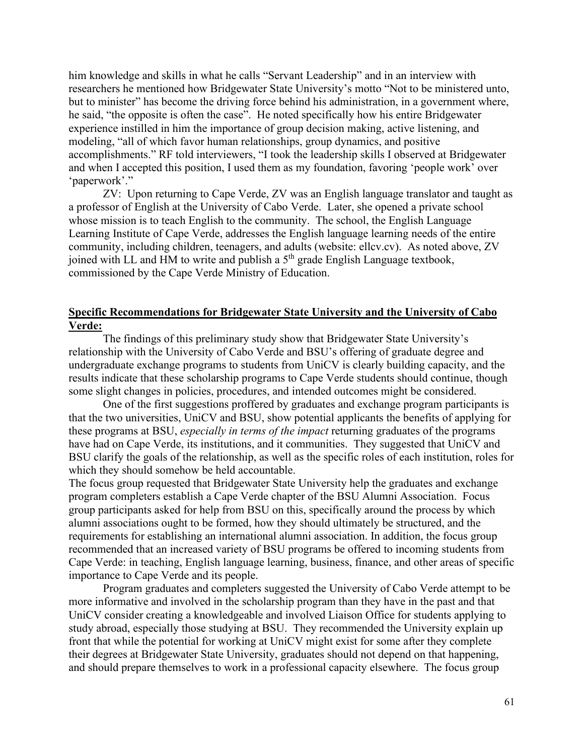him knowledge and skills in what he calls "Servant Leadership" and in an interview with researchers he mentioned how Bridgewater State University's motto "Not to be ministered unto, but to minister" has become the driving force behind his administration, in a government where, he said, "the opposite is often the case". He noted specifically how his entire Bridgewater experience instilled in him the importance of group decision making, active listening, and modeling, "all of which favor human relationships, group dynamics, and positive accomplishments." RF told interviewers, "I took the leadership skills I observed at Bridgewater and when I accepted this position, I used them as my foundation, favoring 'people work' over 'paperwork'."

ZV: Upon returning to Cape Verde, ZV was an English language translator and taught as a professor of English at the University of Cabo Verde. Later, she opened a private school whose mission is to teach English to the community. The school, the English Language Learning Institute of Cape Verde, addresses the English language learning needs of the entire community, including children, teenagers, and adults (website: ellcv.cv). As noted above, ZV joined with LL and HM to write and publish a 5<sup>th</sup> grade English Language textbook, commissioned by the Cape Verde Ministry of Education.

### **Specific Recommendations for Bridgewater State University and the University of Cabo Verde:**

The findings of this preliminary study show that Bridgewater State University's relationship with the University of Cabo Verde and BSU's offering of graduate degree and undergraduate exchange programs to students from UniCV is clearly building capacity, and the results indicate that these scholarship programs to Cape Verde students should continue, though some slight changes in policies, procedures, and intended outcomes might be considered.

One of the first suggestions proffered by graduates and exchange program participants is that the two universities, UniCV and BSU, show potential applicants the benefits of applying for these programs at BSU, *especially in terms of the impact* returning graduates of the programs have had on Cape Verde, its institutions, and it communities. They suggested that UniCV and BSU clarify the goals of the relationship, as well as the specific roles of each institution, roles for which they should somehow be held accountable.

The focus group requested that Bridgewater State University help the graduates and exchange program completers establish a Cape Verde chapter of the BSU Alumni Association. Focus group participants asked for help from BSU on this, specifically around the process by which alumni associations ought to be formed, how they should ultimately be structured, and the requirements for establishing an international alumni association. In addition, the focus group recommended that an increased variety of BSU programs be offered to incoming students from Cape Verde: in teaching, English language learning, business, finance, and other areas of specific importance to Cape Verde and its people.

Program graduates and completers suggested the University of Cabo Verde attempt to be more informative and involved in the scholarship program than they have in the past and that UniCV consider creating a knowledgeable and involved Liaison Office for students applying to study abroad, especially those studying at BSU. They recommended the University explain up front that while the potential for working at UniCV might exist for some after they complete their degrees at Bridgewater State University, graduates should not depend on that happening, and should prepare themselves to work in a professional capacity elsewhere. The focus group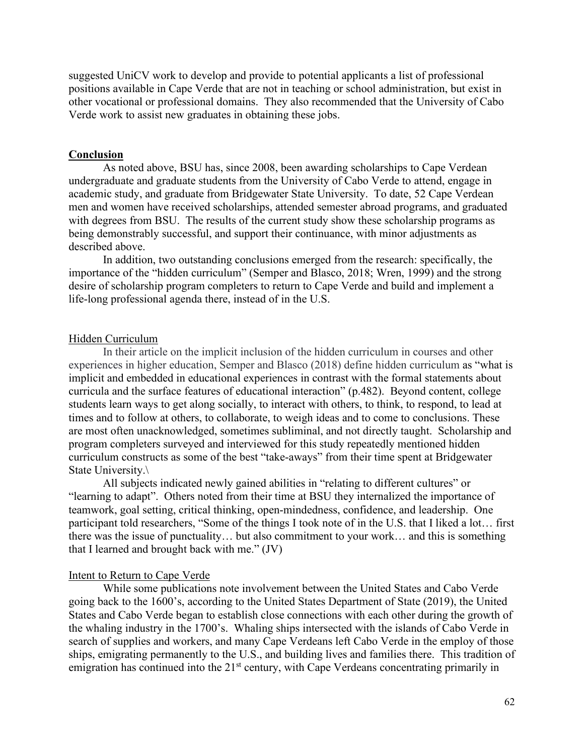suggested UniCV work to develop and provide to potential applicants a list of professional positions available in Cape Verde that are not in teaching or school administration, but exist in other vocational or professional domains. They also recommended that the University of Cabo Verde work to assist new graduates in obtaining these jobs.

#### **Conclusion**

As noted above, BSU has, since 2008, been awarding scholarships to Cape Verdean undergraduate and graduate students from the University of Cabo Verde to attend, engage in academic study, and graduate from Bridgewater State University. To date, 52 Cape Verdean men and women have received scholarships, attended semester abroad programs, and graduated with degrees from BSU. The results of the current study show these scholarship programs as being demonstrably successful, and support their continuance, with minor adjustments as described above.

In addition, two outstanding conclusions emerged from the research: specifically, the importance of the "hidden curriculum" (Semper and Blasco, 2018; Wren, 1999) and the strong desire of scholarship program completers to return to Cape Verde and build and implement a life-long professional agenda there, instead of in the U.S.

#### Hidden Curriculum

In their article on the implicit inclusion of the hidden curriculum in courses and other experiences in higher education, Semper and Blasco (2018) define hidden curriculum as "what is implicit and embedded in educational experiences in contrast with the formal statements about curricula and the surface features of educational interaction" (p.482). Beyond content, college students learn ways to get along socially, to interact with others, to think, to respond, to lead at times and to follow at others, to collaborate, to weigh ideas and to come to conclusions. These are most often unacknowledged, sometimes subliminal, and not directly taught. Scholarship and program completers surveyed and interviewed for this study repeatedly mentioned hidden curriculum constructs as some of the best "take-aways" from their time spent at Bridgewater State University.\

All subjects indicated newly gained abilities in "relating to different cultures" or "learning to adapt". Others noted from their time at BSU they internalized the importance of teamwork, goal setting, critical thinking, open-mindedness, confidence, and leadership. One participant told researchers, "Some of the things I took note of in the U.S. that I liked a lot… first there was the issue of punctuality… but also commitment to your work… and this is something that I learned and brought back with me." (JV)

#### Intent to Return to Cape Verde

While some publications note involvement between the United States and Cabo Verde going back to the 1600's, according to the United States Department of State (2019), the United States and Cabo Verde began to establish close connections with each other during the growth of the whaling industry in the 1700's. Whaling ships intersected with the islands of Cabo Verde in search of supplies and workers, and many Cape Verdeans left Cabo Verde in the employ of those ships, emigrating permanently to the U.S., and building lives and families there. This tradition of emigration has continued into the  $21<sup>st</sup>$  century, with Cape Verdeans concentrating primarily in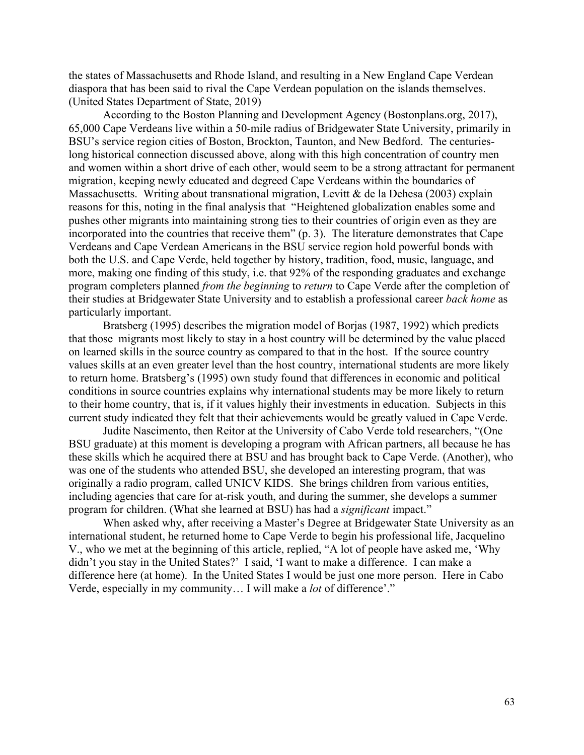the states of Massachusetts and Rhode Island, and resulting in a New England Cape Verdean diaspora that has been said to rival the Cape Verdean population on the islands themselves. (United States Department of State, 2019)

According to the Boston Planning and Development Agency (Bostonplans.org, 2017), 65,000 Cape Verdeans live within a 50-mile radius of Bridgewater State University, primarily in BSU's service region cities of Boston, Brockton, Taunton, and New Bedford. The centurieslong historical connection discussed above, along with this high concentration of country men and women within a short drive of each other, would seem to be a strong attractant for permanent migration, keeping newly educated and degreed Cape Verdeans within the boundaries of Massachusetts. Writing about transnational migration, Levitt & de la Dehesa (2003) explain reasons for this, noting in the final analysis that "Heightened globalization enables some and pushes other migrants into maintaining strong ties to their countries of origin even as they are incorporated into the countries that receive them" (p. 3). The literature demonstrates that Cape Verdeans and Cape Verdean Americans in the BSU service region hold powerful bonds with both the U.S. and Cape Verde, held together by history, tradition, food, music, language, and more, making one finding of this study, i.e. that 92% of the responding graduates and exchange program completers planned *from the beginning* to *return* to Cape Verde after the completion of their studies at Bridgewater State University and to establish a professional career *back home* as particularly important.

Bratsberg (1995) describes the migration model of Borjas (1987, 1992) which predicts that those migrants most likely to stay in a host country will be determined by the value placed on learned skills in the source country as compared to that in the host. If the source country values skills at an even greater level than the host country, international students are more likely to return home. Bratsberg's (1995) own study found that differences in economic and political conditions in source countries explains why international students may be more likely to return to their home country, that is, if it values highly their investments in education. Subjects in this current study indicated they felt that their achievements would be greatly valued in Cape Verde.

Judite Nascimento, then Reitor at the University of Cabo Verde told researchers, "(One BSU graduate) at this moment is developing a program with African partners, all because he has these skills which he acquired there at BSU and has brought back to Cape Verde. (Another), who was one of the students who attended BSU, she developed an interesting program, that was originally a radio program, called UNICV KIDS. She brings children from various entities, including agencies that care for at-risk youth, and during the summer, she develops a summer program for children. (What she learned at BSU) has had a *significant* impact."

When asked why, after receiving a Master's Degree at Bridgewater State University as an international student, he returned home to Cape Verde to begin his professional life, Jacquelino V., who we met at the beginning of this article, replied, "A lot of people have asked me, 'Why didn't you stay in the United States?' I said, 'I want to make a difference. I can make a difference here (at home). In the United States I would be just one more person. Here in Cabo Verde, especially in my community… I will make a *lot* of difference'."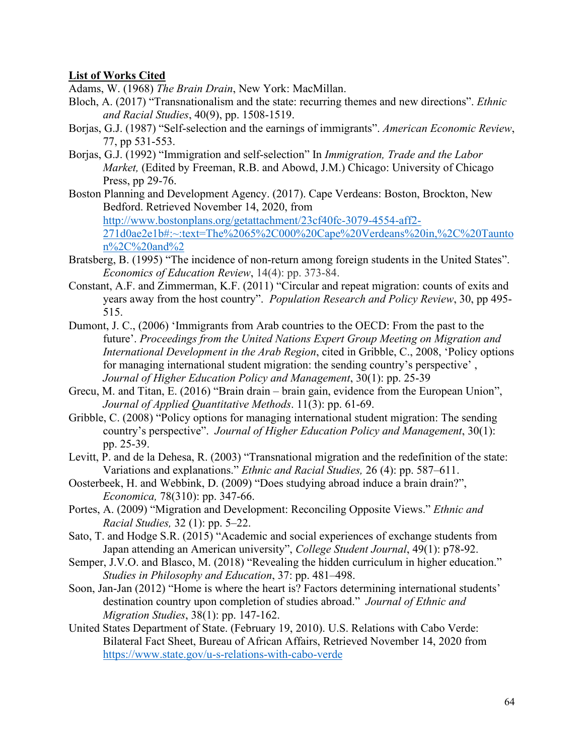## **List of Works Cited**

Adams, W. (1968) *The Brain Drain*, New York: MacMillan.

- Bloch, A. (2017) "Transnationalism and the state: recurring themes and new directions". *Ethnic and Racial Studies*, 40(9), pp. 1508-1519.
- Borjas, G.J. (1987) "Self-selection and the earnings of immigrants". *American Economic Review*, 77, pp 531-553.
- Borjas, G.J. (1992) "Immigration and self-selection" In *Immigration, Trade and the Labor Market,* (Edited by Freeman, R.B. and Abowd, J.M.) Chicago: University of Chicago Press, pp 29-76.
- Boston Planning and Development Agency. (2017). Cape Verdeans: Boston, Brockton, New Bedford. Retrieved November 14, 2020, from [http://www.bostonplans.org/getattachment/23cf40fc-3079-4554-aff2-](http://www.bostonplans.org/getattachment/23cf40fc-3079-4554-aff2-271d0ae2e1b%23:%7E:text=The%2065%2C000%20Cape%20Verdeans%20in,%2C%20Taunton%2C%20and%252) [271d0ae2e1b#:~:text=The%2065%2C000%20Cape%20Verdeans%20in,%2C%20Taunto](http://www.bostonplans.org/getattachment/23cf40fc-3079-4554-aff2-271d0ae2e1b%23:%7E:text=The%2065%2C000%20Cape%20Verdeans%20in,%2C%20Taunton%2C%20and%252) [n%2C%20and%2](http://www.bostonplans.org/getattachment/23cf40fc-3079-4554-aff2-271d0ae2e1b%23:%7E:text=The%2065%2C000%20Cape%20Verdeans%20in,%2C%20Taunton%2C%20and%252)
- Bratsberg, B. (1995) "The incidence of non-return among foreign students in the United States". *Economics of Education Review*, 14(4): pp. 373-84.
- Constant, A.F. and Zimmerman, K.F. (2011) "Circular and repeat migration: counts of exits and years away from the host country". *Population Research and Policy Review*, 30, pp 495- 515.
- Dumont, J. C., (2006) 'Immigrants from Arab countries to the OECD: From the past to the future'. *Proceedings from the United Nations Expert Group Meeting on Migration and International Development in the Arab Region*, cited in Gribble, C., 2008, 'Policy options for managing international student migration: the sending country's perspective' , *Journal of Higher Education Policy and Management*, 30(1): pp. 25-39
- Grecu, M. and Titan, E. (2016) "Brain drain brain gain, evidence from the European Union", *Journal of Applied Quantitative Methods*. 11(3): pp. 61-69.
- Gribble, C. (2008) "Policy options for managing international student migration: The sending country's perspective". *Journal of Higher Education Policy and Management*, 30(1): pp. 25-39.
- Levitt, P. and de la Dehesa, R. (2003) "Transnational migration and the redefinition of the state: Variations and explanations." *Ethnic and Racial Studies,* 26 (4): pp. 587–611.
- Oosterbeek, H. and Webbink, D. (2009) "Does studying abroad induce a brain drain?", *Economica,* 78(310): pp. 347-66.
- Portes, A. (2009) "Migration and Development: Reconciling Opposite Views." *Ethnic and Racial Studies,* 32 (1): pp. 5–22.
- Sato, T. and Hodge S.R. (2015) "Academic and social experiences of exchange students from Japan attending an American university", *College Student Journal*, 49(1): p78-92.
- Semper, J.V.O. and Blasco, M. (2018) "Revealing the hidden curriculum in higher education." *Studies in Philosophy and Education*, 37: pp. 481–498.
- Soon, Jan-Jan (2012) "Home is where the heart is? Factors determining international students' destination country upon completion of studies abroad." *Journal of Ethnic and Migration Studies*, 38(1): pp. 147-162.
- United States Department of State. (February 19, 2010). U.S. Relations with Cabo Verde: Bilateral Fact Sheet, Bureau of African Affairs, Retrieved November 14, 2020 from <https://www.state.gov/u-s-relations-with-cabo-verde>